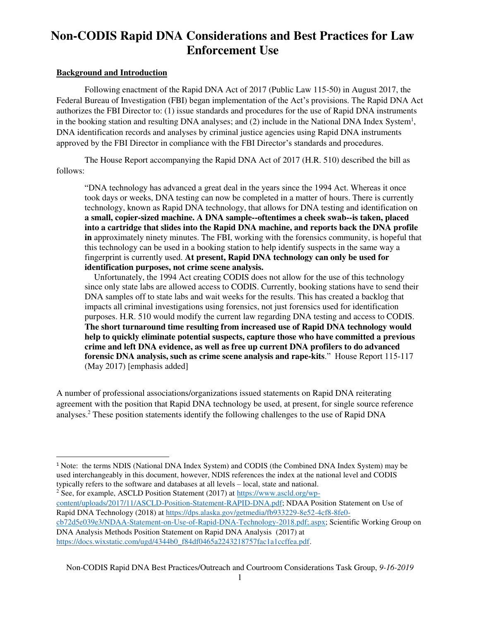# **Non-CODIS Rapid DNA Considerations and Best Practices for Law Enforcement Use**

#### **Background and Introduction**

 $\overline{a}$ 

Following enactment of the Rapid DNA Act of 2017 (Public Law 115-50) in August 2017, the Federal Bureau of Investigation (FBI) began implementation of the Act's provisions. The Rapid DNA Act authorizes the FBI Director to: (1) issue standards and procedures for the use of Rapid DNA instruments in the booking station and resulting DNA analyses; and (2) include in the National DNA Index System<sup>1</sup>, DNA identification records and analyses by criminal justice agencies using Rapid DNA instruments approved by the FBI Director in compliance with the FBI Director's standards and procedures.

The House Report accompanying the Rapid DNA Act of 2017 (H.R. 510) described the bill as follows:

"DNA technology has advanced a great deal in the years since the 1994 Act. Whereas it once took days or weeks, DNA testing can now be completed in a matter of hours. There is currently technology, known as Rapid DNA technology, that allows for DNA testing and identification on **a small, copier-sized machine. A DNA sample--oftentimes a cheek swab--is taken, placed into a cartridge that slides into the Rapid DNA machine, and reports back the DNA profile in** approximately ninety minutes. The FBI, working with the forensics community, is hopeful that this technology can be used in a booking station to help identify suspects in the same way a fingerprint is currently used. **At present, Rapid DNA technology can only be used for identification purposes, not crime scene analysis.** 

Unfortunately, the 1994 Act creating CODIS does not allow for the use of this technology since only state labs are allowed access to CODIS. Currently, booking stations have to send their DNA samples off to state labs and wait weeks for the results. This has created a backlog that impacts all criminal investigations using forensics, not just forensics used for identification purposes. H.R. 510 would modify the current law regarding DNA testing and access to CODIS. **The short turnaround time resulting from increased use of Rapid DNA technology would help to quickly eliminate potential suspects, capture those who have committed a previous crime and left DNA evidence, as well as free up current DNA profilers to do advanced forensic DNA analysis, such as crime scene analysis and rape-kits**." House Report 115-117 (May 2017) [emphasis added]

A number of professional associations/organizations issued statements on Rapid DNA reiterating agreement with the position that Rapid DNA technology be used, at present, for single source reference analyses.<sup>2</sup> These position statements identify the following challenges to the use of Rapid DNA

Non-CODIS Rapid DNA Best Practices/Outreach and Courtroom Considerations Task Group, *9-16-2019* 

<sup>1</sup> Note: the terms NDIS (National DNA Index System) and CODIS (the Combined DNA Index System) may be used interchangeably in this document, however, NDIS references the index at the national level and CODIS typically refers to the software and databases at all levels – local, state and national.<br><sup>2</sup> See, for example, ASCLD Position Statement (2017) at <u>https://www.ascld.org/wp</u>-

[content/uploads/2017/11/ASCLD-Position-Statement-RAPID-DNA.pdf;](https://www.ascld.org/wp-content/uploads/2017/11/ASCLD-Position-Statement-RAPID-DNA.pdf) NDAA Position Statement on Use of Rapid DNA Technology (2018) a[t https://dps.alaska.gov/getmedia/fb933229-8e52-4cf8-8fe0](https://dps.alaska.gov/getmedia/fb933229-8e52-4cf8-8fe0-cb72d5e039e3/NDAA-Statement-on-Use-of-Rapid-DNA-Technology-2018.pdf;.aspx) [cb72d5e039e3/NDAA-Statement-on-Use-of-Rapid-DNA-Technology-2018.pdf;.aspx;](https://dps.alaska.gov/getmedia/fb933229-8e52-4cf8-8fe0-cb72d5e039e3/NDAA-Statement-on-Use-of-Rapid-DNA-Technology-2018.pdf;.aspx) Scientific Working Group on DNA Analysis Methods Position Statement on Rapid DNA Analysis (2017) at [https://docs.wixstatic.com/ugd/4344b0\\_f84df0465a2243218757fac1a1ccffea.pdf.](https://docs.wixstatic.com/ugd/4344b0_f84df0465a2243218757fac1a1ccffea.pdf)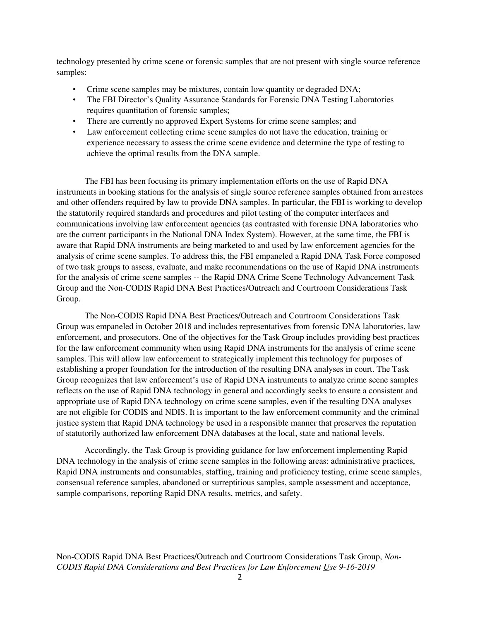technology presented by crime scene or forensic samples that are not present with single source reference samples:

- Crime scene samples may be mixtures, contain low quantity or degraded DNA;
- The FBI Director's Quality Assurance Standards for Forensic DNA Testing Laboratories requires quantitation of forensic samples;
- There are currently no approved Expert Systems for crime scene samples; and
- Law enforcement collecting crime scene samples do not have the education, training or experience necessary to assess the crime scene evidence and determine the type of testing to achieve the optimal results from the DNA sample.

The FBI has been focusing its primary implementation efforts on the use of Rapid DNA instruments in booking stations for the analysis of single source reference samples obtained from arrestees and other offenders required by law to provide DNA samples. In particular, the FBI is working to develop the statutorily required standards and procedures and pilot testing of the computer interfaces and communications involving law enforcement agencies (as contrasted with forensic DNA laboratories who are the current participants in the National DNA Index System). However, at the same time, the FBI is aware that Rapid DNA instruments are being marketed to and used by law enforcement agencies for the analysis of crime scene samples. To address this, the FBI empaneled a Rapid DNA Task Force composed of two task groups to assess, evaluate, and make recommendations on the use of Rapid DNA instruments for the analysis of crime scene samples -- the Rapid DNA Crime Scene Technology Advancement Task Group and the Non-CODIS Rapid DNA Best Practices/Outreach and Courtroom Considerations Task Group.

The Non-CODIS Rapid DNA Best Practices/Outreach and Courtroom Considerations Task Group was empaneled in October 2018 and includes representatives from forensic DNA laboratories, law enforcement, and prosecutors. One of the objectives for the Task Group includes providing best practices for the law enforcement community when using Rapid DNA instruments for the analysis of crime scene samples. This will allow law enforcement to strategically implement this technology for purposes of establishing a proper foundation for the introduction of the resulting DNA analyses in court. The Task Group recognizes that law enforcement's use of Rapid DNA instruments to analyze crime scene samples reflects on the use of Rapid DNA technology in general and accordingly seeks to ensure a consistent and appropriate use of Rapid DNA technology on crime scene samples, even if the resulting DNA analyses are not eligible for CODIS and NDIS. It is important to the law enforcement community and the criminal justice system that Rapid DNA technology be used in a responsible manner that preserves the reputation of statutorily authorized law enforcement DNA databases at the local, state and national levels.

Accordingly, the Task Group is providing guidance for law enforcement implementing Rapid DNA technology in the analysis of crime scene samples in the following areas: administrative practices, Rapid DNA instruments and consumables, staffing, training and proficiency testing, crime scene samples, consensual reference samples, abandoned or surreptitious samples, sample assessment and acceptance, sample comparisons, reporting Rapid DNA results, metrics, and safety.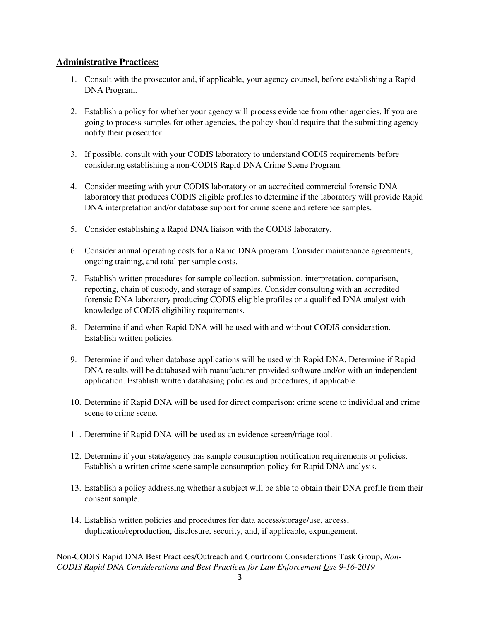#### **Administrative Practices:**

- 1. Consult with the prosecutor and, if applicable, your agency counsel, before establishing a Rapid DNA Program.
- 2. Establish a policy for whether your agency will process evidence from other agencies. If you are going to process samples for other agencies, the policy should require that the submitting agency notify their prosecutor.
- 3. If possible, consult with your CODIS laboratory to understand CODIS requirements before considering establishing a non-CODIS Rapid DNA Crime Scene Program.
- 4. Consider meeting with your CODIS laboratory or an accredited commercial forensic DNA laboratory that produces CODIS eligible profiles to determine if the laboratory will provide Rapid DNA interpretation and/or database support for crime scene and reference samples.
- 5. Consider establishing a Rapid DNA liaison with the CODIS laboratory.
- 6. Consider annual operating costs for a Rapid DNA program. Consider maintenance agreements, ongoing training, and total per sample costs.
- 7. Establish written procedures for sample collection, submission, interpretation, comparison, reporting, chain of custody, and storage of samples. Consider consulting with an accredited forensic DNA laboratory producing CODIS eligible profiles or a qualified DNA analyst with knowledge of CODIS eligibility requirements.
- 8. Determine if and when Rapid DNA will be used with and without CODIS consideration. Establish written policies.
- 9. Determine if and when database applications will be used with Rapid DNA. Determine if Rapid DNA results will be databased with manufacturer-provided software and/or with an independent application. Establish written databasing policies and procedures, if applicable.
- 10. Determine if Rapid DNA will be used for direct comparison: crime scene to individual and crime scene to crime scene.
- 11. Determine if Rapid DNA will be used as an evidence screen/triage tool.
- 12. Determine if your state/agency has sample consumption notification requirements or policies. Establish a written crime scene sample consumption policy for Rapid DNA analysis.
- 13. Establish a policy addressing whether a subject will be able to obtain their DNA profile from their consent sample.
- 14. Establish written policies and procedures for data access/storage/use, access, duplication/reproduction, disclosure, security, and, if applicable, expungement.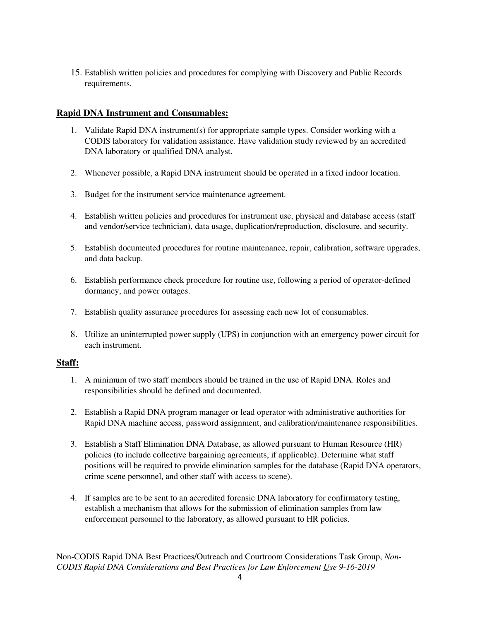15. Establish written policies and procedures for complying with Discovery and Public Records requirements.

#### **Rapid DNA Instrument and Consumables:**

- 1. Validate Rapid DNA instrument(s) for appropriate sample types. Consider working with a CODIS laboratory for validation assistance. Have validation study reviewed by an accredited DNA laboratory or qualified DNA analyst.
- 2. Whenever possible, a Rapid DNA instrument should be operated in a fixed indoor location.
- 3. Budget for the instrument service maintenance agreement.
- 4. Establish written policies and procedures for instrument use, physical and database access (staff and vendor/service technician), data usage, duplication/reproduction, disclosure, and security.
- 5. Establish documented procedures for routine maintenance, repair, calibration, software upgrades, and data backup.
- 6. Establish performance check procedure for routine use, following a period of operator-defined dormancy, and power outages.
- 7. Establish quality assurance procedures for assessing each new lot of consumables.
- 8. Utilize an uninterrupted power supply (UPS) in conjunction with an emergency power circuit for each instrument.

#### **Staff:**

- 1. A minimum of two staff members should be trained in the use of Rapid DNA. Roles and responsibilities should be defined and documented.
- 2. Establish a Rapid DNA program manager or lead operator with administrative authorities for Rapid DNA machine access, password assignment, and calibration/maintenance responsibilities.
- 3. Establish a Staff Elimination DNA Database, as allowed pursuant to Human Resource (HR) policies (to include collective bargaining agreements, if applicable). Determine what staff positions will be required to provide elimination samples for the database (Rapid DNA operators, crime scene personnel, and other staff with access to scene).
- 4. If samples are to be sent to an accredited forensic DNA laboratory for confirmatory testing, establish a mechanism that allows for the submission of elimination samples from law enforcement personnel to the laboratory, as allowed pursuant to HR policies.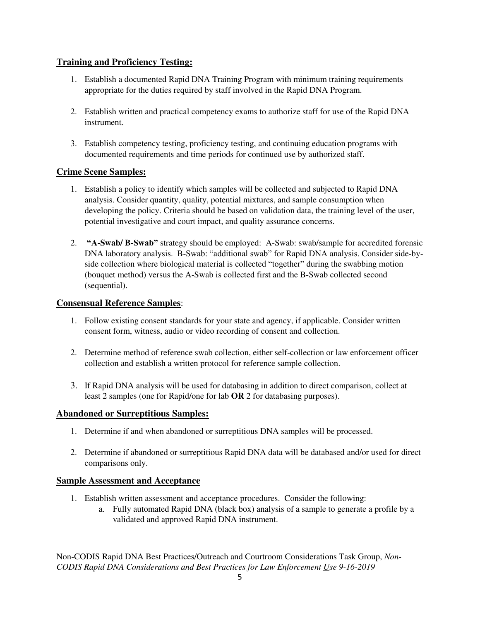# **Training and Proficiency Testing:**

- 1. Establish a documented Rapid DNA Training Program with minimum training requirements appropriate for the duties required by staff involved in the Rapid DNA Program.
- 2. Establish written and practical competency exams to authorize staff for use of the Rapid DNA instrument.
- 3. Establish competency testing, proficiency testing, and continuing education programs with documented requirements and time periods for continued use by authorized staff.

# **Crime Scene Samples:**

- 1. Establish a policy to identify which samples will be collected and subjected to Rapid DNA analysis. Consider quantity, quality, potential mixtures, and sample consumption when developing the policy. Criteria should be based on validation data, the training level of the user, potential investigative and court impact, and quality assurance concerns.
- 2. **"A-Swab/ B-Swab"** strategy should be employed: A-Swab: swab/sample for accredited forensic DNA laboratory analysis. B-Swab: "additional swab" for Rapid DNA analysis. Consider side-byside collection where biological material is collected "together" during the swabbing motion (bouquet method) versus the A-Swab is collected first and the B-Swab collected second (sequential).

# **Consensual Reference Samples**:

- 1. Follow existing consent standards for your state and agency, if applicable. Consider written consent form, witness, audio or video recording of consent and collection.
- 2. Determine method of reference swab collection, either self-collection or law enforcement officer collection and establish a written protocol for reference sample collection.
- 3. If Rapid DNA analysis will be used for databasing in addition to direct comparison, collect at least 2 samples (one for Rapid/one for lab **OR** 2 for databasing purposes).

# **Abandoned or Surreptitious Samples:**

- 1. Determine if and when abandoned or surreptitious DNA samples will be processed.
- 2. Determine if abandoned or surreptitious Rapid DNA data will be databased and/or used for direct comparisons only.

# **Sample Assessment and Acceptance**

- 1. Establish written assessment and acceptance procedures. Consider the following:
	- a. Fully automated Rapid DNA (black box) analysis of a sample to generate a profile by a validated and approved Rapid DNA instrument.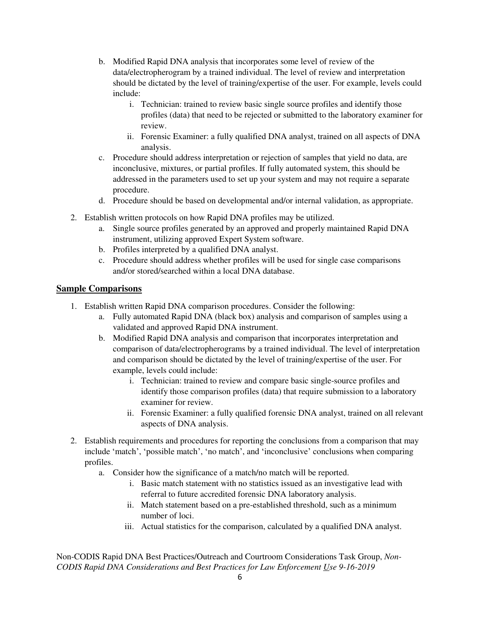- b. Modified Rapid DNA analysis that incorporates some level of review of the data/electropherogram by a trained individual. The level of review and interpretation should be dictated by the level of training/expertise of the user. For example, levels could include:
	- i. Technician: trained to review basic single source profiles and identify those profiles (data) that need to be rejected or submitted to the laboratory examiner for review.
	- ii. Forensic Examiner: a fully qualified DNA analyst, trained on all aspects of DNA analysis.
- c. Procedure should address interpretation or rejection of samples that yield no data, are inconclusive, mixtures, or partial profiles. If fully automated system, this should be addressed in the parameters used to set up your system and may not require a separate procedure.
- d. Procedure should be based on developmental and/or internal validation, as appropriate.
- 2. Establish written protocols on how Rapid DNA profiles may be utilized.
	- a. Single source profiles generated by an approved and properly maintained Rapid DNA instrument, utilizing approved Expert System software.
	- b. Profiles interpreted by a qualified DNA analyst.
	- c. Procedure should address whether profiles will be used for single case comparisons and/or stored/searched within a local DNA database.

#### **Sample Comparisons**

- 1. Establish written Rapid DNA comparison procedures. Consider the following:
	- a. Fully automated Rapid DNA (black box) analysis and comparison of samples using a validated and approved Rapid DNA instrument.
	- b. Modified Rapid DNA analysis and comparison that incorporates interpretation and comparison of data/electropherograms by a trained individual. The level of interpretation and comparison should be dictated by the level of training/expertise of the user. For example, levels could include:
		- i. Technician: trained to review and compare basic single-source profiles and identify those comparison profiles (data) that require submission to a laboratory examiner for review.
		- ii. Forensic Examiner: a fully qualified forensic DNA analyst, trained on all relevant aspects of DNA analysis.
- 2. Establish requirements and procedures for reporting the conclusions from a comparison that may include 'match', 'possible match', 'no match', and 'inconclusive' conclusions when comparing profiles.
	- a. Consider how the significance of a match/no match will be reported.
		- i. Basic match statement with no statistics issued as an investigative lead with referral to future accredited forensic DNA laboratory analysis.
		- ii. Match statement based on a pre-established threshold, such as a minimum number of loci.
		- iii. Actual statistics for the comparison, calculated by a qualified DNA analyst.